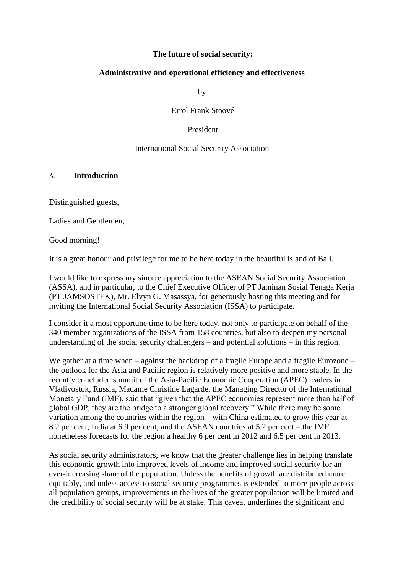### **The future of social security:**

### **Administrative and operational efficiency and effectiveness**

by

Errol Frank Stoové

#### President

### International Social Security Association

#### A. **Introduction**

Distinguished guests,

Ladies and Gentlemen,

Good morning!

It is a great honour and privilege for me to be here today in the beautiful island of Bali.

I would like to express my sincere appreciation to the ASEAN Social Security Association (ASSA), and in particular, to the Chief Executive Officer of PT Jaminan Sosial Tenaga Kerja (PT JAMSOSTEK), Mr. Elvyn G. Masassya, for generously hosting this meeting and for inviting the International Social Security Association (ISSA) to participate.

I consider it a most opportune time to be here today, not only to participate on behalf of the 340 member organizations of the ISSA from 158 countries, but also to deepen my personal understanding of the social security challengers – and potential solutions – in this region.

We gather at a time when – against the backdrop of a fragile Europe and a fragile Eurozone – the outlook for the Asia and Pacific region is relatively more positive and more stable. In the recently concluded summit of the Asia-Pacific Economic Cooperation (APEC) leaders in Vladivostok, Russia, Madame Christine Lagarde, the Managing Director of the International Monetary Fund (IMF), said that "given that the APEC economies represent more than half of global GDP, they are the bridge to a stronger global recovery." While there may be some variation among the countries within the region – with China estimated to grow this year at 8.2 per cent, India at 6.9 per cent, and the ASEAN countries at 5.2 per cent – the IMF nonetheless forecasts for the region a healthy 6 per cent in 2012 and 6.5 per cent in 2013.

As social security administrators, we know that the greater challenge lies in helping translate this economic growth into improved levels of income and improved social security for an ever-increasing share of the population. Unless the benefits of growth are distributed more equitably, and unless access to social security programmes is extended to more people across all population groups, improvements in the lives of the greater population will be limited and the credibility of social security will be at stake. This caveat underlines the significant and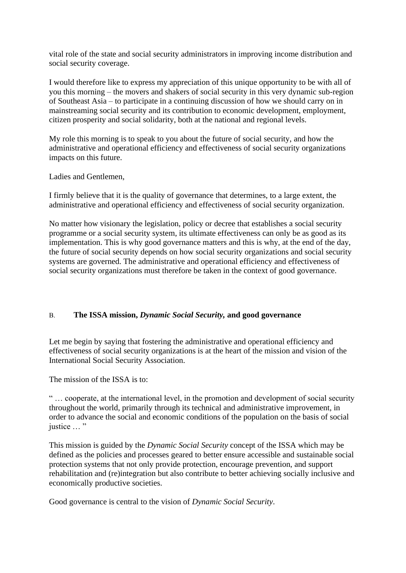vital role of the state and social security administrators in improving income distribution and social security coverage.

I would therefore like to express my appreciation of this unique opportunity to be with all of you this morning – the movers and shakers of social security in this very dynamic sub-region of Southeast Asia – to participate in a continuing discussion of how we should carry on in mainstreaming social security and its contribution to economic development, employment, citizen prosperity and social solidarity, both at the national and regional levels.

My role this morning is to speak to you about the future of social security, and how the administrative and operational efficiency and effectiveness of social security organizations impacts on this future.

Ladies and Gentlemen,

I firmly believe that it is the quality of governance that determines, to a large extent, the administrative and operational efficiency and effectiveness of social security organization.

No matter how visionary the legislation, policy or decree that establishes a social security programme or a social security system, its ultimate effectiveness can only be as good as its implementation. This is why good governance matters and this is why, at the end of the day, the future of social security depends on how social security organizations and social security systems are governed. The administrative and operational efficiency and effectiveness of social security organizations must therefore be taken in the context of good governance.

# B. **The ISSA mission,** *Dynamic Social Security,* **and good governance**

Let me begin by saying that fostering the administrative and operational efficiency and effectiveness of social security organizations is at the heart of the mission and vision of the International Social Security Association.

The mission of the ISSA is to:

" … cooperate, at the international level, in the promotion and development of social security throughout the world, primarily through its technical and administrative improvement, in order to advance the social and economic conditions of the population on the basis of social justice … "

This mission is guided by the *Dynamic Social Security* concept of the ISSA which may be defined as the policies and processes geared to better ensure accessible and sustainable social protection systems that not only provide protection, encourage prevention, and support rehabilitation and (re)integration but also contribute to better achieving socially inclusive and economically productive societies.

Good governance is central to the vision of *Dynamic Social Security*.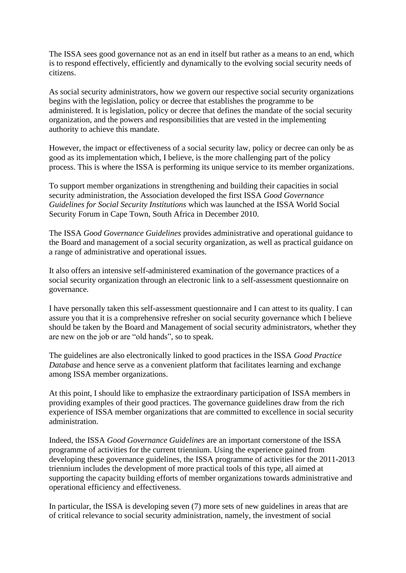The ISSA sees good governance not as an end in itself but rather as a means to an end, which is to respond effectively, efficiently and dynamically to the evolving social security needs of citizens.

As social security administrators, how we govern our respective social security organizations begins with the legislation, policy or decree that establishes the programme to be administered. It is legislation, policy or decree that defines the mandate of the social security organization, and the powers and responsibilities that are vested in the implementing authority to achieve this mandate.

However, the impact or effectiveness of a social security law, policy or decree can only be as good as its implementation which, I believe, is the more challenging part of the policy process. This is where the ISSA is performing its unique service to its member organizations.

To support member organizations in strengthening and building their capacities in social security administration, the Association developed the first ISSA *Good Governance Guidelines for Social Security Institutions* which was launched at the ISSA World Social Security Forum in Cape Town, South Africa in December 2010.

The ISSA *Good Governance Guidelines* provides administrative and operational guidance to the Board and management of a social security organization, as well as practical guidance on a range of administrative and operational issues.

It also offers an intensive self-administered examination of the governance practices of a social security organization through an electronic link to a self-assessment questionnaire on governance.

I have personally taken this self-assessment questionnaire and I can attest to its quality. I can assure you that it is a comprehensive refresher on social security governance which I believe should be taken by the Board and Management of social security administrators, whether they are new on the job or are "old hands", so to speak.

The guidelines are also electronically linked to good practices in the ISSA *Good Practice Database* and hence serve as a convenient platform that facilitates learning and exchange among ISSA member organizations.

At this point, I should like to emphasize the extraordinary participation of ISSA members in providing examples of their good practices. The governance guidelines draw from the rich experience of ISSA member organizations that are committed to excellence in social security administration.

Indeed, the ISSA *Good Governance Guidelines* are an important cornerstone of the ISSA programme of activities for the current triennium. Using the experience gained from developing these governance guidelines, the ISSA programme of activities for the 2011-2013 triennium includes the development of more practical tools of this type, all aimed at supporting the capacity building efforts of member organizations towards administrative and operational efficiency and effectiveness.

In particular, the ISSA is developing seven (7) more sets of new guidelines in areas that are of critical relevance to social security administration, namely, the investment of social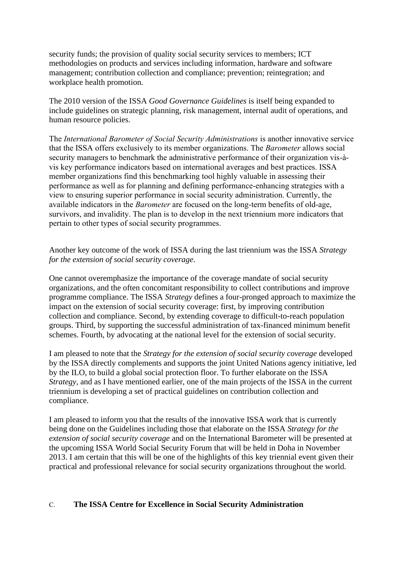security funds; the provision of quality social security services to members; ICT methodologies on products and services including information, hardware and software management; contribution collection and compliance; prevention; reintegration; and workplace health promotion.

The 2010 version of the ISSA *Good Governance Guidelines* is itself being expanded to include guidelines on strategic planning, risk management, internal audit of operations, and human resource policies.

The *International Barometer of Social Security Administrations* is another innovative service that the ISSA offers exclusively to its member organizations. The *Barometer* allows social security managers to benchmark the administrative performance of their organization vis-àvis key performance indicators based on international averages and best practices. ISSA member organizations find this benchmarking tool highly valuable in assessing their performance as well as for planning and defining performance-enhancing strategies with a view to ensuring superior performance in social security administration. Currently, the available indicators in the *Barometer* are focused on the long-term benefits of old-age, survivors, and invalidity. The plan is to develop in the next triennium more indicators that pertain to other types of social security programmes.

Another key outcome of the work of ISSA during the last triennium was the ISSA *Strategy for the extension of social security coverage*.

One cannot overemphasize the importance of the coverage mandate of social security organizations, and the often concomitant responsibility to collect contributions and improve programme compliance. The ISSA *Strategy* defines a four-pronged approach to maximize the impact on the extension of social security coverage: first, by improving contribution collection and compliance. Second, by extending coverage to difficult-to-reach population groups. Third, by supporting the successful administration of tax-financed minimum benefit schemes. Fourth, by advocating at the national level for the extension of social security.

I am pleased to note that the *Strategy for the extension of social security coverage* developed by the ISSA directly complements and supports the joint United Nations agency initiative, led by the ILO, to build a global social protection floor. To further elaborate on the ISSA *Strategy*, and as I have mentioned earlier, one of the main projects of the ISSA in the current triennium is developing a set of practical guidelines on contribution collection and compliance.

I am pleased to inform you that the results of the innovative ISSA work that is currently being done on the Guidelines including those that elaborate on the ISSA *Strategy for the extension of social security coverage* and on the International Barometer will be presented at the upcoming ISSA World Social Security Forum that will be held in Doha in November 2013. I am certain that this will be one of the highlights of this key triennial event given their practical and professional relevance for social security organizations throughout the world.

# C. **The ISSA Centre for Excellence in Social Security Administration**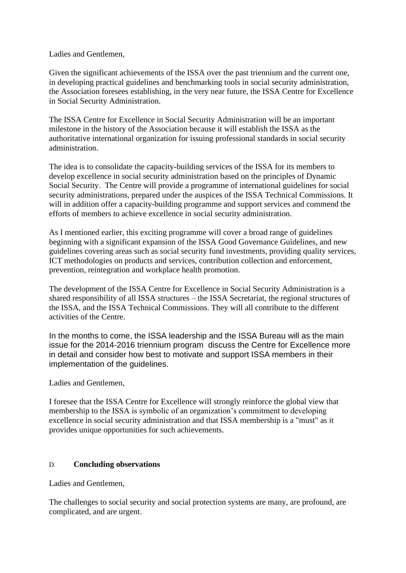Ladies and Gentlemen,

Given the significant achievements of the ISSA over the past triennium and the current one, in developing practical guidelines and benchmarking tools in social security administration, the Association foresees establishing, in the very near future, the ISSA Centre for Excellence in Social Security Administration.

The ISSA Centre for Excellence in Social Security Administration will be an important milestone in the history of the Association because it will establish the ISSA as the authoritative international organization for issuing professional standards in social security administration.

The idea is to consolidate the capacity-building services of the ISSA for its members to develop excellence in social security administration based on the principles of Dynamic Social Security. The Centre will provide a programme of international guidelines for social security administrations, prepared under the auspices of the ISSA Technical Commissions. It will in addition offer a capacity-building programme and support services and commend the efforts of members to achieve excellence in social security administration.

As I mentioned earlier, this exciting programme will cover a broad range of guidelines beginning with a significant expansion of the ISSA Good Governance Guidelines, and new guidelines covering areas such as social security fund investments, providing quality services, ICT methodologies on products and services, contribution collection and enforcement, prevention, reintegration and workplace health promotion.

The development of the ISSA Centre for Excellence in Social Security Administration is a shared responsibility of all ISSA structures – the ISSA Secretariat, the regional structures of the ISSA, and the ISSA Technical Commissions. They will all contribute to the different activities of the Centre.

In the months to come, the ISSA leadership and the ISSA Bureau will as the main issue for the 2014-2016 triennium program discuss the Centre for Excellence more in detail and consider how best to motivate and support ISSA members in their implementation of the guidelines.

Ladies and Gentlemen,

I foresee that the ISSA Centre for Excellence will strongly reinforce the global view that membership to the ISSA is symbolic of an organization's commitment to developing excellence in social security administration and that ISSA membership is a "must" as it provides unique opportunities for such achievements.

# D. **Concluding observations**

Ladies and Gentlemen,

The challenges to social security and social protection systems are many, are profound, are complicated, and are urgent.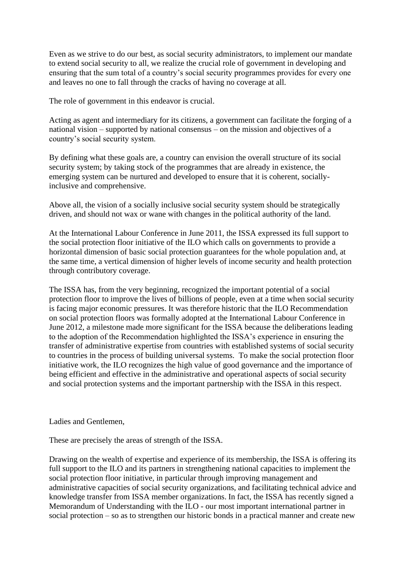Even as we strive to do our best, as social security administrators, to implement our mandate to extend social security to all, we realize the crucial role of government in developing and ensuring that the sum total of a country's social security programmes provides for every one and leaves no one to fall through the cracks of having no coverage at all.

The role of government in this endeavor is crucial.

Acting as agent and intermediary for its citizens, a government can facilitate the forging of a national vision – supported by national consensus – on the mission and objectives of a country's social security system.

By defining what these goals are, a country can envision the overall structure of its social security system; by taking stock of the programmes that are already in existence, the emerging system can be nurtured and developed to ensure that it is coherent, sociallyinclusive and comprehensive.

Above all, the vision of a socially inclusive social security system should be strategically driven, and should not wax or wane with changes in the political authority of the land.

At the International Labour Conference in June 2011, the ISSA expressed its full support to the social protection floor initiative of the ILO which calls on governments to provide a horizontal dimension of basic social protection guarantees for the whole population and, at the same time, a vertical dimension of higher levels of income security and health protection through contributory coverage.

The ISSA has, from the very beginning, recognized the important potential of a social protection floor to improve the lives of billions of people, even at a time when social security is facing major economic pressures. It was therefore historic that the ILO Recommendation on social protection floors was formally adopted at the International Labour Conference in June 2012, a milestone made more significant for the ISSA because the deliberations leading to the adoption of the Recommendation highlighted the ISSA's experience in ensuring the transfer of administrative expertise from countries with established systems of social security to countries in the process of building universal systems. To make the social protection floor initiative work, the ILO recognizes the high value of good governance and the importance of being efficient and effective in the administrative and operational aspects of social security and social protection systems and the important partnership with the ISSA in this respect.

Ladies and Gentlemen,

These are precisely the areas of strength of the ISSA.

Drawing on the wealth of expertise and experience of its membership, the ISSA is offering its full support to the ILO and its partners in strengthening national capacities to implement the social protection floor initiative, in particular through improving management and administrative capacities of social security organizations, and facilitating technical advice and knowledge transfer from ISSA member organizations. In fact, the ISSA has recently signed a Memorandum of Understanding with the ILO - our most important international partner in social protection – so as to strengthen our historic bonds in a practical manner and create new